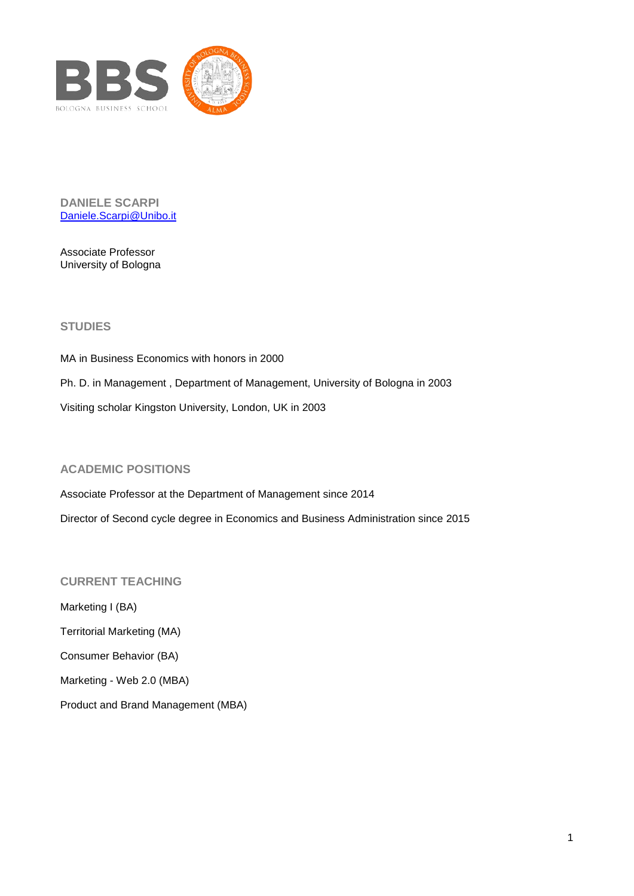

**DANIELE SCARPI** [Daniele.Scarpi@Unibo.it](mailto:Daniele.Scarpi@Unibo.it)

Associate Professor University of Bologna

## **STUDIES**

MA in Business Economics with honors in 2000 Ph. D. in Management , Department of Management, University of Bologna in 2003 Visiting scholar Kingston University, London, UK in 2003

## **ACADEMIC POSITIONS**

Associate Professor at the Department of Management since 2014 Director of Second cycle degree in Economics and Business Administration since 2015

## **CURRENT TEACHING**

Marketing I (BA) Territorial Marketing (MA) Consumer Behavior (BA) Marketing - Web 2.0 (MBA)

Product and Brand Management (MBA)